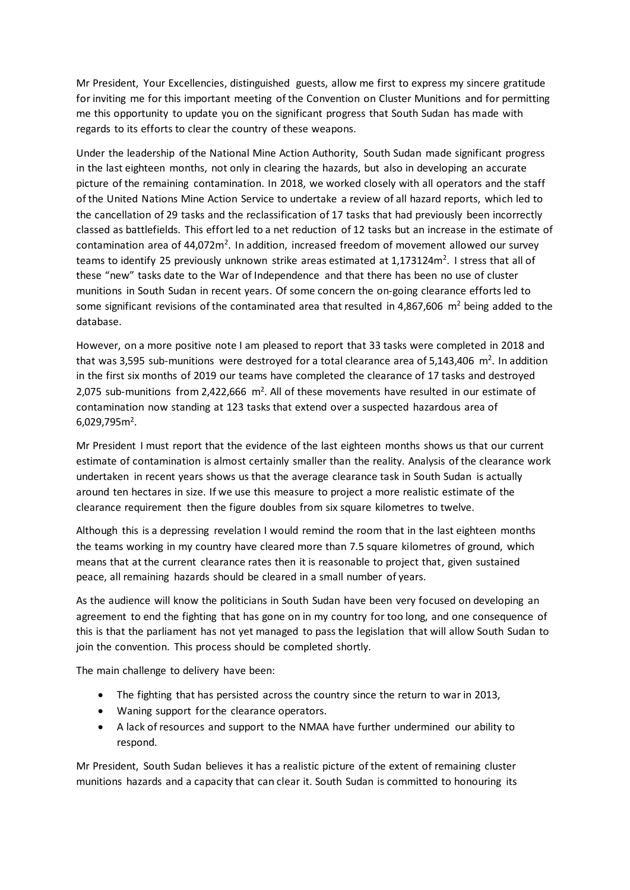Mr President, Your Excellencies, distinguished guests, allow me first to express my sincere gratitude for inviting me for this important meeting of the Convention on Cluster Munitions and for permitting me this opportunity to update you on the significant progress that South Sudan has made with regards to its efforts to clear the country of these weapons.

Under the leadership of the National Mine Action Authority, South Sudan made significant progress in the last eighteen months, not only in clearing the hazards, but also in developing an accurate picture of the remaining contamination. In 2018, we worked closely with all operators and the staff of the United Nations Mine Action Service to undertake a review of all hazard reports, which led to the cancellation of 29 tasks and the reclassification of 17 tasks that had previously been incorrectly classed as battlefields. This effort led to a net reduction of 12 tasks but an increase in the estimate of contamination area of 44,072 $m^2$ . In addition, increased freedom of movement allowed our survey teams to identify 25 previously unknown strike areas estimated at 1,173124m<sup>2</sup>. I stress that all of these "new" tasks date to the War of Independence and that there has been no use of cluster munitions in South Sudan in recent years. Of some concern the on-going clearance efforts led to some significant revisions of the contaminated area that resulted in  $4,867,606$  m<sup>2</sup> being added to the database.

However, on a more positive note I am pleased to report that 33 tasks were completed in 2018 and that was 3,595 sub-munitions were destroyed for a total clearance area of 5,143,406  $\,$ m<sup>2</sup>. In addition in the first six months of 2019 our teams have completed the clearance of 17 tasks and destroyed 2,075 sub-munitions from 2,422,666  $m^2$ . All of these movements have resulted in our estimate of contamination now standing at 123 tasks that extend over a suspected hazardous area of 6,029,795m<sup>2</sup> .

Mr President I must report that the evidence of the last eighteen months shows us that our current estimate of contamination is almost certainly smaller than the reality. Analysis of the clearance work undertaken in recent years shows us that the average clearance task in South Sudan is actually around ten hectares in size. If we use this measure to project a more realistic estimate of the clearance requirement then the figure doubles from six square kilometres to twelve.

Although this is a depressing revelation I would remind the room that in the last eighteen months the teams working in my country have cleared more than 7.5 square kilometres of ground, which means that at the current clearance rates then it is reasonable to project that, given sustained peace, all remaining hazards should be cleared in a small number of years.

As the audience will know the politicians in South Sudan have been very focused on developing an agreement to end the fighting that has gone on in my country for too long, and one consequence of this is that the parliament has not yet managed to pass the legislation that will allow South Sudan to join the convention. This process should be completed shortly.

The main challenge to delivery have been:

- The fighting that has persisted across the country since the return to war in 2013,
- Waning support for the clearance operators.
- A lack of resources and support to the NMAA have further undermined our ability to respond.

Mr President, South Sudan believes it has a realistic picture of the extent of remaining cluster munitions hazards and a capacity that can clear it. South Sudan is committed to honouring its